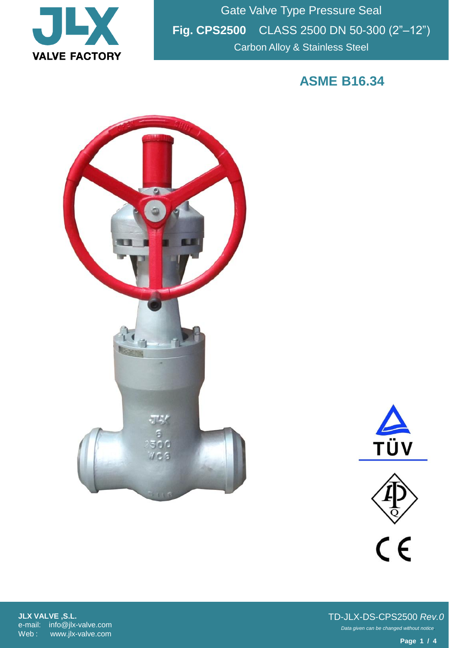

Gate Valve Type Pressure Seal **Fig. CPS2500** CLASS 2500 DN 50-300 (2"–12") Carbon Alloy & Stainless Steel

**ASME B16.34**







**JLX VALVE ,S.L.** e-mail: info@jlx-valve.com Web : www.jlx-valve.com

*Data given can be changed without notice.* TD-JLX-DS-CPS2500 *Rev.0*

**Page 1 / 4**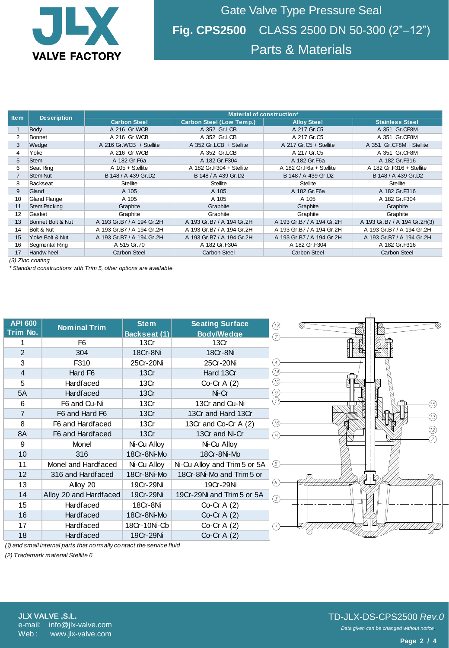

Gate Valve Type Pressure Seal **Fig. CPS2500** CLASS 2500 DN 50-300 (2"–12") Parts & Materials

| <b>Item</b>                                                                           | <b>Description</b>  | Material of construction*   |                                             |                           |                              |  |
|---------------------------------------------------------------------------------------|---------------------|-----------------------------|---------------------------------------------|---------------------------|------------------------------|--|
|                                                                                       |                     | <b>Carbon Steel</b>         | <b>Carbon Steel (Low Temp.)</b>             | <b>Alloy Steel</b>        | <b>Stainless Steel</b>       |  |
| 1                                                                                     | Body                | A 216 Gr.WCB                | A 352 Gr.LCB                                | A 217 Gr.C5               | A 351 Gr.CF8M                |  |
| 2                                                                                     | Bonnet              | A 216 Gr.WCB                | A 352 Gr.LCB                                | A 217 Gr.C5               | A 351 Gr.CF8M                |  |
| 3                                                                                     | Wedge               | A 216 Gr.WCB + Stellite     | A 352 Gr.LCB + Stellite                     | A 217 Gr.C5 + Stellite    | A 351 Gr.CF8M + Stellite     |  |
| 4                                                                                     | Yoke                | A 216 Gr.WCB                | A 352 Gr.LCB                                | A 217 Gr.C5               | A 351 Gr.CF8M                |  |
| 5                                                                                     | <b>Stem</b>         | A 182 Gr.F6a                | A 182 Gr.F304                               | A 182 Gr.F6a              | A 182 Gr.F316                |  |
| 6                                                                                     | Seat Ring           | A 105 + Stellite            | A 182 Gr.F304 + Stellite                    | A 182 Gr. F6a + Stellite  | A 182 Gr.F316 + Stellite     |  |
| $\overline{7}$                                                                        | <b>Stem Nut</b>     | B 148 / A 439 Gr.D2         | B 148 / A 439 Gr.D2                         | B 148 / A 439 Gr.D2       | B 148 / A 439 Gr.D2          |  |
| 8                                                                                     | <b>Backseat</b>     | <b>Stellite</b>             | <b>Stellite</b>                             | <b>Stellite</b>           | <b>Stellite</b>              |  |
| 9                                                                                     | Gland               | A 105                       | A 105                                       | A 182 Gr.F6a              | A 182 Gr.F316                |  |
| 10                                                                                    | Gland Flange        | A 105                       | A 105                                       | A 105                     | A 182 Gr.F304                |  |
| 11                                                                                    | <b>Stem Packing</b> | Graphite                    | Graphite                                    | Graphite                  | Graphite                     |  |
| 12                                                                                    | Gasket              | Graphite                    | Graphite                                    | Graphite                  | Graphite                     |  |
| 13                                                                                    | Bonnet Bolt & Nut   | A 193 Gr.B7 / A 194 Gr.2H   | A 193 Gr.B7 / A 194 Gr.2H                   | A 193 Gr.B7 / A 194 Gr.2H | A 193 Gr.B7 / A 194 Gr.2H(3) |  |
| 14                                                                                    | Bolt & Nut          | A 193 Gr.B7 / A 194 Gr.2H   | A 193 Gr.B7 / A 194 Gr.2H                   | A 193 Gr.B7 / A 194 Gr.2H | A 193 Gr.B7 / A 194 Gr.2H    |  |
| 15                                                                                    | Yoke Bolt & Nut     | A 193 Gr.B7 / A 194 Gr.2H   | A 193 Gr.B7 / A 194 Gr.2H                   | A 193 Gr.B7 / A 194 Gr.2H | A 193 Gr.B7 / A 194 Gr.2H    |  |
| 16                                                                                    | Segmental Ring      | A 515 Gr.70                 | A 182 Gr.F304                               | A 182 Gr.F304             | A 182 Gr.F316                |  |
| 17                                                                                    | Handw heel          | <b>Carbon Steel</b>         | <b>Carbon Steel</b>                         | <b>Carbon Steel</b>       | <b>Carbon Steel</b>          |  |
| (3) Zinc coating<br>* Standard constructions with Trim 5, other options are available |                     |                             |                                             |                           |                              |  |
|                                                                                       |                     |                             |                                             |                           |                              |  |
| <b>API 600</b><br>Trim No.                                                            | <b>Nominal Trim</b> | <b>Stem</b><br>Backseat (1) | <b>Seating Surface</b><br><b>Body/Wedge</b> | ⊙<br>G                    |                              |  |

| <b>API 600</b> | <b>Nominal Trim</b>    | <b>Stem</b>  | <b>Seating Surface</b>       |
|----------------|------------------------|--------------|------------------------------|
| Trim No.       |                        | Backseat (1) | <b>Body/Wedge</b>            |
| 1              | F <sub>6</sub>         | 13Cr         | 13Cr                         |
| 2              | 304                    | 18Cr-8Ni     | 18Cr-8Ni                     |
| 3              | F310                   | 25Cr-20Ni    | 25Cr-20Ni                    |
| $\overline{4}$ | Hard F6                | 13Cr         | Hard 13Cr                    |
| 5              | <b>Hardfaced</b>       | 13Cr         | $Co-Cr A(2)$                 |
| 5A             | <b>Hardfaced</b>       | 13Cr         | Ni-Cr                        |
| 6              | F6 and Cu-Ni           | 13Cr         | 13Cr and Cu-Ni               |
| $\overline{7}$ | F6 and Hard F6         | 13Cr         | 13Cr and Hard 13Cr           |
| 8              | F6 and Hardfaced       | 13Cr         | 13Cr and Co-Cr A (2)         |
| 8A             | F6 and Hardfaced       | 13Cr         | 13Cr and Ni-Cr               |
| 9              | Monel                  | Ni-Cu Alloy  | Ni-Cu Alloy                  |
| 10             | 316                    | 18Cr-8Ni-Mo  | 18Cr-8Ni-Mo                  |
| 11             | Monel and Hardfaced    | Ni-Cu Alloy  | Ni-Cu Alloy and Trim 5 or 5A |
| 12             | 316 and Hardfaced      | 18Cr-8Ni-Mo  | 18Cr-8Ni-Mo and Trim 5 or    |
| 13             | Alloy 20               | 19Cr-29Ni    | 19Cr-29Ni                    |
| 14             | Alloy 20 and Hardfaced | 19Cr-29Ni    | 19Cr-29Ni and Trim 5 or 5A   |
| 15             | <b>Hardfaced</b>       | 18Cr-8Ni     | Co-Cr $A(2)$                 |
| 16             | <b>Hardfaced</b>       | 18Cr-8Ni-Mo  | Co-Cr $A(2)$                 |
| 17             | <b>Hardfaced</b>       | 18Cr-10Ni-Cb | Co-Cr $A(2)$                 |
| 18             | <b>Hardfaced</b>       | 19Cr-29Ni    | Co-Cr $A(2)$                 |



*(1) and small internal parts that normally contact the service fluid*

*(2) Trademark material Stellite 6*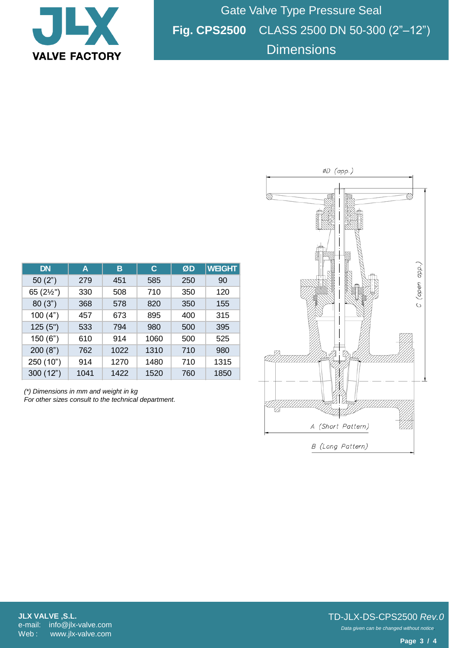

Gate Valve Type Pressure Seal **Fig. CPS2500** CLASS 2500 DN 50-300 (2"–12") **Dimensions** 



| <b>DN</b>           | A    | в    | С    | ØD  | <b>WEIGHT</b> |
|---------------------|------|------|------|-----|---------------|
| 50(2")              | 279  | 451  | 585  | 250 | 90            |
| 65 $(2\frac{1}{2})$ | 330  | 508  | 710  | 350 | 120           |
| 80(3")              | 368  | 578  | 820  | 350 | 155           |
| 100(4")             | 457  | 673  | 895  | 400 | 315           |
| 125(5")             | 533  | 794  | 980  | 500 | 395           |
| 150(6")             | 610  | 914  | 1060 | 500 | 525           |
| 200(8")             | 762  | 1022 | 1310 | 710 | 980           |
| 250 (10")           | 914  | 1270 | 1480 | 710 | 1315          |
| 300(12")            | 1041 | 1422 | 1520 | 760 | 1850          |

*(\*) Dimensions in mm and weight in kg For other sizes consult to the technical department.*

*Data given can be changed without notice.* TD-JLX-DS-CPS2500 *Rev.0*

**Page 3 / 4**